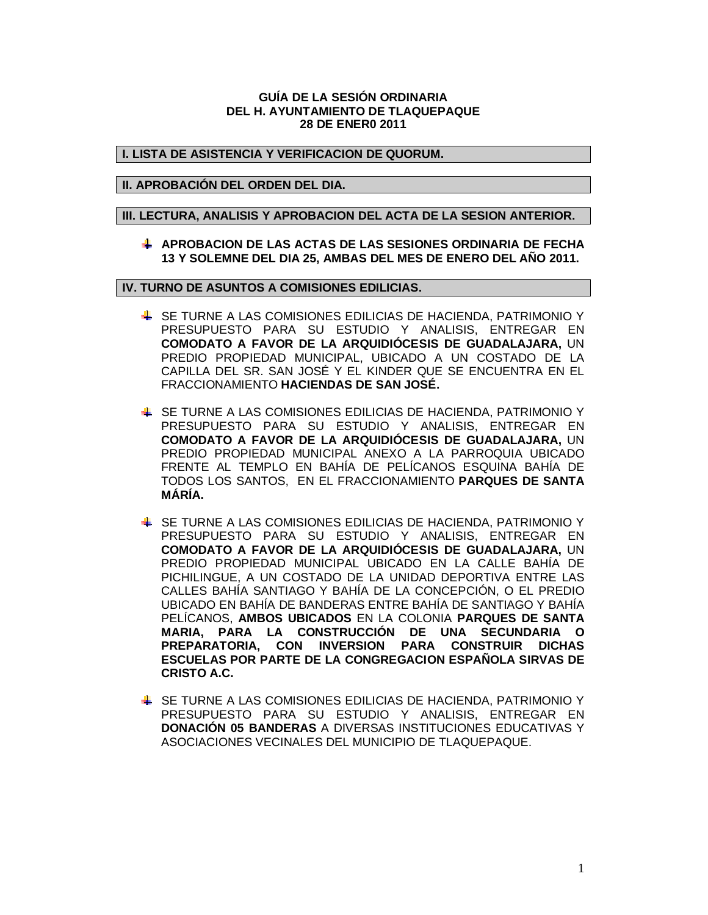### **GUÍA DE LA SESIÓN ORDINARIA DEL H. AYUNTAMIENTO DE TLAQUEPAQUE 28 DE ENER0 2011**

# **I. LISTA DE ASISTENCIA Y VERIFICACION DE QUORUM.**

### **II. APROBACIÓN DEL ORDEN DEL DIA.**

# **III. LECTURA, ANALISIS Y APROBACION DEL ACTA DE LA SESION ANTERIOR.**

**APROBACION DE LAS ACTAS DE LAS SESIONES ORDINARIA DE FECHA 13 Y SOLEMNE DEL DIA 25, AMBAS DEL MES DE ENERO DEL AÑO 2011.**

**IV. TURNO DE ASUNTOS A COMISIONES EDILICIAS.**

- SE TURNE A LAS COMISIONES EDILICIAS DE HACIENDA, PATRIMONIO Y PRESUPUESTO PARA SU ESTUDIO Y ANALISIS, ENTREGAR EN **COMODATO A FAVOR DE LA ARQUIDIÓCESIS DE GUADALAJARA,** UN PREDIO PROPIEDAD MUNICIPAL, UBICADO A UN COSTADO DE LA CAPILLA DEL SR. SAN JOSÉ Y EL KINDER QUE SE ENCUENTRA EN EL FRACCIONAMIENTO **HACIENDAS DE SAN JOSÉ.**
- SE TURNE A LAS COMISIONES EDILICIAS DE HACIENDA, PATRIMONIO Y PRESUPUESTO PARA SU ESTUDIO Y ANALISIS, ENTREGAR EN **COMODATO A FAVOR DE LA ARQUIDIÓCESIS DE GUADALAJARA,** UN PREDIO PROPIEDAD MUNICIPAL ANEXO A LA PARROQUIA UBICADO FRENTE AL TEMPLO EN BAHÍA DE PELÍCANOS ESQUINA BAHÍA DE TODOS LOS SANTOS, EN EL FRACCIONAMIENTO **PARQUES DE SANTA MÁRÍA.**
- SE TURNE A LAS COMISIONES EDILICIAS DE HACIENDA, PATRIMONIO Y PRESUPUESTO PARA SU ESTUDIO Y ANALISIS, ENTREGAR EN **COMODATO A FAVOR DE LA ARQUIDIÓCESIS DE GUADALAJARA,** UN PREDIO PROPIEDAD MUNICIPAL UBICADO EN LA CALLE BAHÍA DE PICHILINGUE, A UN COSTADO DE LA UNIDAD DEPORTIVA ENTRE LAS CALLES BAHÍA SANTIAGO Y BAHÍA DE LA CONCEPCIÓN, O EL PREDIO UBICADO EN BAHÍA DE BANDERAS ENTRE BAHÍA DE SANTIAGO Y BAHÍA PELÍCANOS, **AMBOS UBICADOS** EN LA COLONIA **PARQUES DE SANTA MARIA, PARA LA CONSTRUCCIÓN DE UNA SECUNDARIA O PREPARATORIA, CON INVERSION PARA CONSTRUIR DICHAS ESCUELAS POR PARTE DE LA CONGREGACION ESPAÑOLA SIRVAS DE CRISTO A.C.**
- SE TURNE A LAS COMISIONES EDILICIAS DE HACIENDA, PATRIMONIO Y PRESUPUESTO PARA SU ESTUDIO Y ANALISIS, ENTREGAR EN **DONACIÓN 05 BANDERAS** A DIVERSAS INSTITUCIONES EDUCATIVAS Y ASOCIACIONES VECINALES DEL MUNICIPIO DE TLAQUEPAQUE.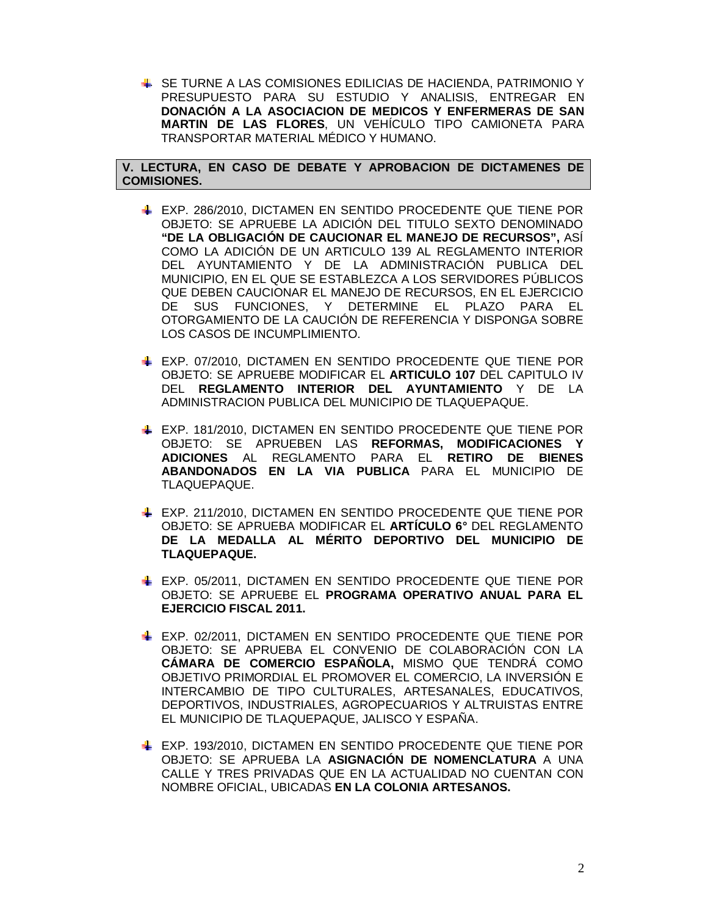SE TURNE A LAS COMISIONES EDILICIAS DE HACIENDA, PATRIMONIO Y PRESUPUESTO PARA SU ESTUDIO Y ANALISIS, ENTREGAR EN **DONACIÓN A LA ASOCIACION DE MEDICOS Y ENFERMERAS DE SAN MARTIN DE LAS FLORES**, UN VEHÍCULO TIPO CAMIONETA PARA TRANSPORTAR MATERIAL MÉDICO Y HUMANO.

**V. LECTURA, EN CASO DE DEBATE Y APROBACION DE DICTAMENES DE COMISIONES.**

- EXP. 286/2010, DICTAMEN EN SENTIDO PROCEDENTE QUE TIENE POR OBJETO: SE APRUEBE LA ADICIÓN DEL TITULO SEXTO DENOMINADO **"DE LA OBLIGACIÓN DE CAUCIONAR EL MANEJO DE RECURSOS",** ASÍ COMO LA ADICIÓN DE UN ARTICULO 139 AL REGLAMENTO INTERIOR DEL AYUNTAMIENTO Y DE LA ADMINISTRACIÓN PUBLICA DEL MUNICIPIO, EN EL QUE SE ESTABLEZCA A LOS SERVIDORES PÚBLICOS QUE DEBEN CAUCIONAR EL MANEJO DE RECURSOS, EN EL EJERCICIO DE SUS FUNCIONES, Y DETERMINE EL PLAZO PARA EL OTORGAMIENTO DE LA CAUCIÓN DE REFERENCIA Y DISPONGA SOBRE LOS CASOS DE INCUMPLIMIENTO.
- EXP. 07/2010, DICTAMEN EN SENTIDO PROCEDENTE QUE TIENE POR OBJETO: SE APRUEBE MODIFICAR EL **ARTICULO 107** DEL CAPITULO IV DEL **REGLAMENTO INTERIOR DEL AYUNTAMIENTO** Y DE LA ADMINISTRACION PUBLICA DEL MUNICIPIO DE TLAQUEPAQUE.
- EXP. 181/2010, DICTAMEN EN SENTIDO PROCEDENTE QUE TIENE POR OBJETO: SE APRUEBEN LAS **REFORMAS, MODIFICACIONES Y ADICIONES** AL REGLAMENTO PARA EL **RETIRO DE BIENES ABANDONADOS EN LA VIA PUBLICA** PARA EL MUNICIPIO DE TLAQUEPAQUE.
- EXP. 211/2010, DICTAMEN EN SENTIDO PROCEDENTE QUE TIENE POR OBJETO: SE APRUEBA MODIFICAR EL **ARTÍCULO 6°** DEL REGLAMENTO **DE LA MEDALLA AL MÉRITO DEPORTIVO DEL MUNICIPIO DE TLAQUEPAQUE.**
- EXP. 05/2011, DICTAMEN EN SENTIDO PROCEDENTE QUE TIENE POR OBJETO: SE APRUEBE EL **PROGRAMA OPERATIVO ANUAL PARA EL EJERCICIO FISCAL 2011.**
- EXP. 02/2011, DICTAMEN EN SENTIDO PROCEDENTE QUE TIENE POR OBJETO: SE APRUEBA EL CONVENIO DE COLABORACIÓN CON LA **CÁMARA DE COMERCIO ESPAÑOLA,** MISMO QUE TENDRÁ COMO OBJETIVO PRIMORDIAL EL PROMOVER EL COMERCIO, LA INVERSIÓN E INTERCAMBIO DE TIPO CULTURALES, ARTESANALES, EDUCATIVOS, DEPORTIVOS, INDUSTRIALES, AGROPECUARIOS Y ALTRUISTAS ENTRE EL MUNICIPIO DE TLAQUEPAQUE, JALISCO Y ESPAÑA.
- **EXP. 193/2010, DICTAMEN EN SENTIDO PROCEDENTE QUE TIENE POR** OBJETO: SE APRUEBA LA **ASIGNACIÓN DE NOMENCLATURA** A UNA CALLE Y TRES PRIVADAS QUE EN LA ACTUALIDAD NO CUENTAN CON NOMBRE OFICIAL, UBICADAS **EN LA COLONIA ARTESANOS.**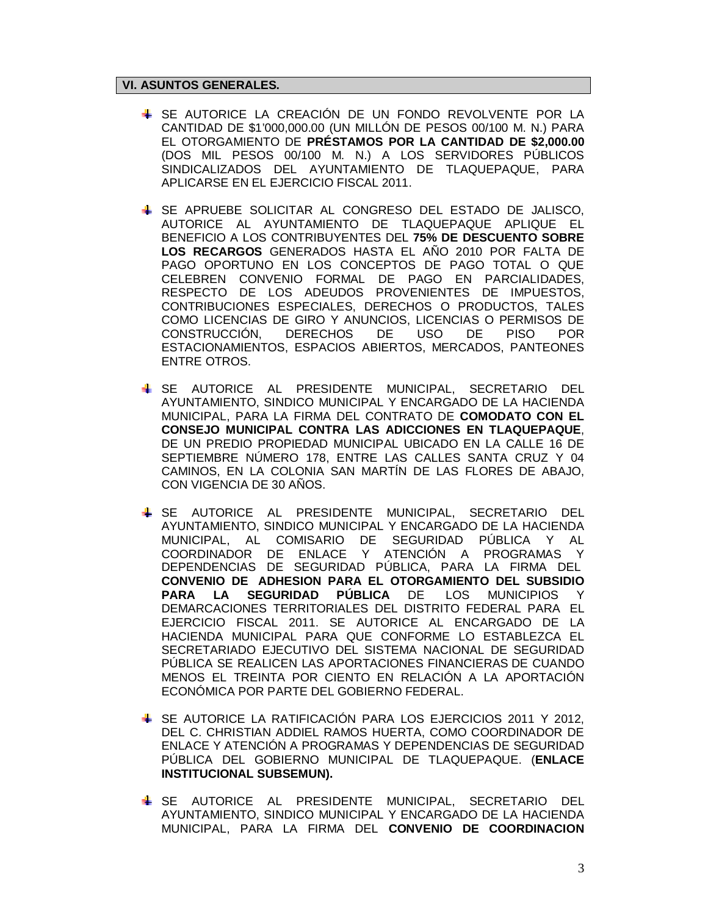# **VI. ASUNTOS GENERALES.**

- SE AUTORICE LA CREACIÓN DE UN FONDO REVOLVENTE POR LA CANTIDAD DE \$1'000,000.00 (UN MILLÓN DE PESOS 00/100 M. N.) PARA EL OTORGAMIENTO DE **PRÉSTAMOS POR LA CANTIDAD DE \$2,000.00** (DOS MIL PESOS 00/100 M. N.) A LOS SERVIDORES PÚBLICOS SINDICALIZADOS DEL AYUNTAMIENTO DE TLAQUEPAQUE, PARA APLICARSE EN EL EJERCICIO FISCAL 2011.
- SE APRUEBE SOLICITAR AL CONGRESO DEL ESTADO DE JALISCO, AUTORICE AL AYUNTAMIENTO DE TLAQUEPAQUE APLIQUE EL BENEFICIO A LOS CONTRIBUYENTES DEL **75% DE DESCUENTO SOBRE LOS RECARGOS** GENERADOS HASTA EL AÑO 2010 POR FALTA DE PAGO OPORTUNO EN LOS CONCEPTOS DE PAGO TOTAL O QUE CELEBREN CONVENIO FORMAL DE PAGO EN PARCIALIDADES, RESPECTO DE LOS ADEUDOS PROVENIENTES DE IMPUESTOS, CONTRIBUCIONES ESPECIALES, DERECHOS O PRODUCTOS, TALES COMO LICENCIAS DE GIRO Y ANUNCIOS, LICENCIAS O PERMISOS DE CONSTRUCCIÓN, DERECHOS DE USO DE PISO POR ESTACIONAMIENTOS, ESPACIOS ABIERTOS, MERCADOS, PANTEONES ENTRE OTROS.
- SE AUTORICE AL PRESIDENTE MUNICIPAL, SECRETARIO DEL AYUNTAMIENTO, SINDICO MUNICIPAL Y ENCARGADO DE LA HACIENDA MUNICIPAL, PARA LA FIRMA DEL CONTRATO DE **COMODATO CON EL CONSEJO MUNICIPAL CONTRA LAS ADICCIONES EN TLAQUEPAQUE**, DE UN PREDIO PROPIEDAD MUNICIPAL UBICADO EN LA CALLE 16 DE SEPTIEMBRE NÚMERO 178, ENTRE LAS CALLES SANTA CRUZ Y 04 CAMINOS, EN LA COLONIA SAN MARTÍN DE LAS FLORES DE ABAJO, CON VIGENCIA DE 30 AÑOS.
- SE AUTORICE AL PRESIDENTE MUNICIPAL, SECRETARIO DEL AYUNTAMIENTO, SINDICO MUNICIPAL Y ENCARGADO DE LA HACIENDA MUNICIPAL, AL COMISARIO DE SEGURIDAD PÚBLICA Y AL COORDINADOR DE ENLACE Y ATENCIÓN A PROGRAMAS Y DEPENDENCIAS DE SEGURIDAD PÚBLICA, PARA LA FIRMA DEL **CONVENIO DE ADHESION PARA EL OTORGAMIENTO DEL SUBSIDIO PARA LA SEGURIDAD PÚBLICA** DE LOS MUNICIPIOS Y DEMARCACIONES TERRITORIALES DEL DISTRITO FEDERAL PARA EL EJERCICIO FISCAL 2011. SE AUTORICE AL ENCARGADO DE LA HACIENDA MUNICIPAL PARA QUE CONFORME LO ESTABLEZCA EL SECRETARIADO EJECUTIVO DEL SISTEMA NACIONAL DE SEGURIDAD PÚBLICA SE REALICEN LAS APORTACIONES FINANCIERAS DE CUANDO MENOS EL TREINTA POR CIENTO EN RELACIÓN A LA APORTACIÓN ECONÓMICA POR PARTE DEL GOBIERNO FEDERAL.
- SE AUTORICE LA RATIFICACIÓN PARA LOS EJERCICIOS 2011 Y 2012, DEL C. CHRISTIAN ADDIEL RAMOS HUERTA, COMO COORDINADOR DE ENLACE Y ATENCIÓN A PROGRAMAS Y DEPENDENCIAS DE SEGURIDAD PÚBLICA DEL GOBIERNO MUNICIPAL DE TLAQUEPAQUE. (**ENLACE INSTITUCIONAL SUBSEMUN).**
- SE AUTORICE AL PRESIDENTE MUNICIPAL, SECRETARIO DEL AYUNTAMIENTO, SINDICO MUNICIPAL Y ENCARGADO DE LA HACIENDA MUNICIPAL, PARA LA FIRMA DEL **CONVENIO DE COORDINACION**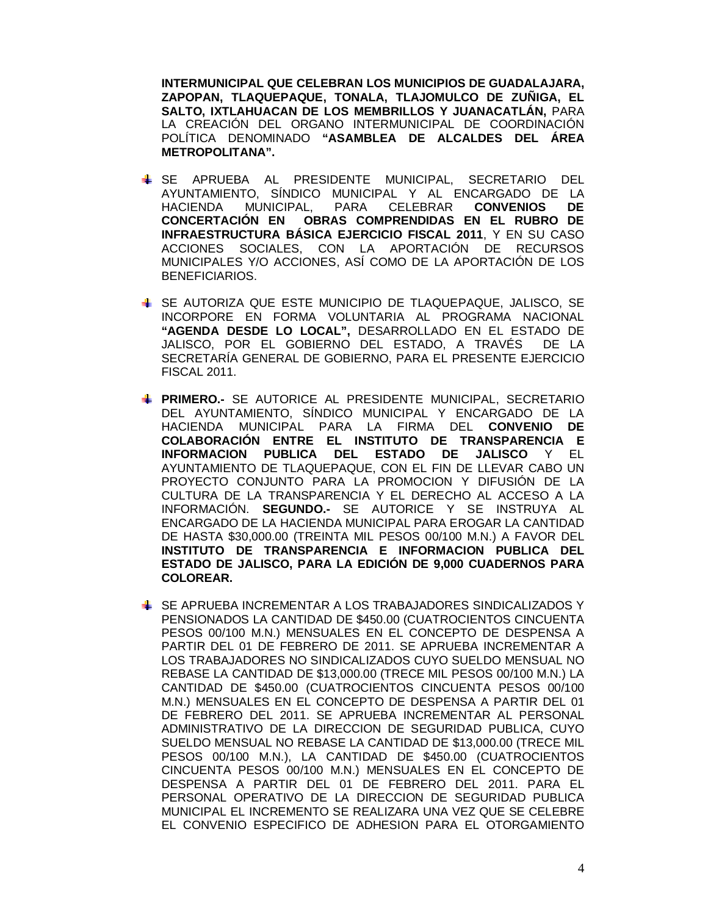**INTERMUNICIPAL QUE CELEBRAN LOS MUNICIPIOS DE GUADALAJARA, ZAPOPAN, TLAQUEPAQUE, TONALA, TLAJOMULCO DE ZUÑIGA, EL SALTO, IXTLAHUACAN DE LOS MEMBRILLOS Y JUANACATLÁN,** PARA LA CREACIÓN DEL ORGANO INTERMUNICIPAL DE COORDINACIÓN POLÍTICA DENOMINADO **"ASAMBLEA DE ALCALDES DEL ÁREA METROPOLITANA".**

- SE APRUEBA AL PRESIDENTE MUNICIPAL, SECRETARIO DEL AYUNTAMIENTO, SÍNDICO MUNICIPAL Y AL ENCARGADO DE LA HACIENDA MUNICIPAL, PARA CELEBRAR **CONVENIOS DE CONCERTACIÓN EN OBRAS COMPRENDIDAS EN EL RUBRO DE INFRAESTRUCTURA BÁSICA EJERCICIO FISCAL 2011**, Y EN SU CASO ACCIONES SOCIALES, CON LA APORTACIÓN DE RECURSOS MUNICIPALES Y/O ACCIONES, ASÍ COMO DE LA APORTACIÓN DE LOS BENEFICIARIOS.
- SE AUTORIZA QUE ESTE MUNICIPIO DE TLAQUEPAQUE, JALISCO, SE INCORPORE EN FORMA VOLUNTARIA AL PROGRAMA NACIONAL **"AGENDA DESDE LO LOCAL",** DESARROLLADO EN EL ESTADO DE JALISCO, POR EL GOBIERNO DEL ESTADO, A TRAVÉS DE LA SECRETARÍA GENERAL DE GOBIERNO, PARA EL PRESENTE EJERCICIO FISCAL 2011.
- **PRIMERO.-** SE AUTORICE AL PRESIDENTE MUNICIPAL, SECRETARIO DEL AYUNTAMIENTO, SÍNDICO MUNICIPAL Y ENCARGADO DE LA HACIENDA MUNICIPAL PARA LA FIRMA DEL **CONVENIO DE COLABORACIÓN ENTRE EL INSTITUTO DE TRANSPARENCIA E INFORMACION PUBLICA DEL ESTADO DE JALISCO** Y EL AYUNTAMIENTO DE TLAQUEPAQUE, CON EL FIN DE LLEVAR CABO UN PROYECTO CONJUNTO PARA LA PROMOCION Y DIFUSIÓN DE LA CULTURA DE LA TRANSPARENCIA Y EL DERECHO AL ACCESO A LA INFORMACIÓN. **SEGUNDO.-** SE AUTORICE Y SE INSTRUYA AL ENCARGADO DE LA HACIENDA MUNICIPAL PARA EROGAR LA CANTIDAD DE HASTA \$30,000.00 (TREINTA MIL PESOS 00/100 M.N.) A FAVOR DEL **INSTITUTO DE TRANSPARENCIA E INFORMACION PUBLICA DEL ESTADO DE JALISCO, PARA LA EDICIÓN DE 9,000 CUADERNOS PARA COLOREAR.**
- SE APRUEBA INCREMENTAR A LOS TRABAJADORES SINDICALIZADOS Y PENSIONADOS LA CANTIDAD DE \$450.00 (CUATROCIENTOS CINCUENTA PESOS 00/100 M.N.) MENSUALES EN EL CONCEPTO DE DESPENSA A PARTIR DEL 01 DE FEBRERO DE 2011. SE APRUEBA INCREMENTAR A LOS TRABAJADORES NO SINDICALIZADOS CUYO SUELDO MENSUAL NO REBASE LA CANTIDAD DE \$13,000.00 (TRECE MIL PESOS 00/100 M.N.) LA CANTIDAD DE \$450.00 (CUATROCIENTOS CINCUENTA PESOS 00/100 M.N.) MENSUALES EN EL CONCEPTO DE DESPENSA A PARTIR DEL 01 DE FEBRERO DEL 2011. SE APRUEBA INCREMENTAR AL PERSONAL ADMINISTRATIVO DE LA DIRECCION DE SEGURIDAD PUBLICA, CUYO SUELDO MENSUAL NO REBASE LA CANTIDAD DE \$13,000.00 (TRECE MIL PESOS 00/100 M.N.), LA CANTIDAD DE \$450.00 (CUATROCIENTOS CINCUENTA PESOS 00/100 M.N.) MENSUALES EN EL CONCEPTO DE DESPENSA A PARTIR DEL 01 DE FEBRERO DEL 2011. PARA EL PERSONAL OPERATIVO DE LA DIRECCION DE SEGURIDAD PUBLICA MUNICIPAL EL INCREMENTO SE REALIZARA UNA VEZ QUE SE CELEBRE EL CONVENIO ESPECIFICO DE ADHESION PARA EL OTORGAMIENTO